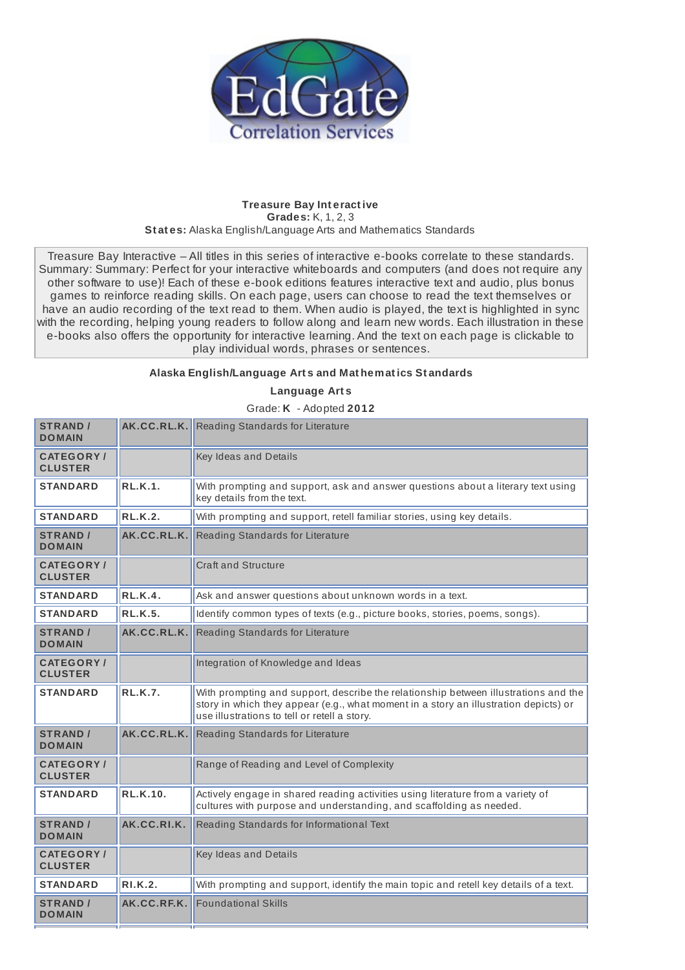

## **Treasure Bay Int eract ive Grades:** K, 1, 2, 3 **St at es:** Alaska English/Language Arts and Mathematics Standards

Treasure Bay Interactive – All titles in this series of interactive e-books correlate to these standards. Summary: Summary: Perfect for your interactive whiteboards and computers (and does not require any other software to use)! Each of these e-book editions features interactive text and audio, plus bonus games to reinforce reading skills. On each page, users can choose to read the text themselves or have an audio recording of the text read to them. When audio is played, the text is highlighted in sync with the recording, helping young readers to follow along and learn new words. Each illustration in these e-books also offers the opportunity for interactive learning. And the text on each page is clickable to play individual words, phrases or sentences.

## **Alaska English/Language Art s and Mat hemat ics St andards**

**Language Art s**

Grade: **K** - Adopted **2012**

| <b>STRAND /</b><br><b>DOMAIN</b>    |                 | <b>AK.CC.RL.K.</b> Reading Standards for Literature                                                                                                                                                                         |
|-------------------------------------|-----------------|-----------------------------------------------------------------------------------------------------------------------------------------------------------------------------------------------------------------------------|
| <b>CATEGORY/</b><br><b>CLUSTER</b>  |                 | Key Ideas and Details                                                                                                                                                                                                       |
| <b>STANDARD</b>                     | <b>RL.K.1.</b>  | With prompting and support, ask and answer questions about a literary text using<br>key details from the text.                                                                                                              |
| <b>STANDARD</b>                     | <b>RL.K.2.</b>  | With prompting and support, retell familiar stories, using key details.                                                                                                                                                     |
| <b>STRAND /</b><br><b>DOMAIN</b>    | AK.CC.RL.K.     | Reading Standards for Literature                                                                                                                                                                                            |
| <b>CATEGORY</b> /<br><b>CLUSTER</b> |                 | <b>Craft and Structure</b>                                                                                                                                                                                                  |
| <b>STANDARD</b>                     | <b>RL.K.4.</b>  | Ask and answer questions about unknown words in a text.                                                                                                                                                                     |
| <b>STANDARD</b>                     | <b>RL.K.5.</b>  | Identify common types of texts (e.g., picture books, stories, poems, songs).                                                                                                                                                |
| <b>STRAND</b> /<br><b>DOMAIN</b>    | AK.CC.RL.K.     | Reading Standards for Literature                                                                                                                                                                                            |
| <b>CATEGORY/</b><br><b>CLUSTER</b>  |                 | Integration of Knowledge and Ideas                                                                                                                                                                                          |
| <b>STANDARD</b>                     | RLK.7.          | With prompting and support, describe the relationship between illustrations and the<br>story in which they appear (e.g., what moment in a story an illustration depicts) or<br>use illustrations to tell or retell a story. |
| <b>STRAND /</b><br><b>DOMAIN</b>    | AK.CC.RL.K.     | Reading Standards for Literature                                                                                                                                                                                            |
| <b>CATEGORY/</b><br><b>CLUSTER</b>  |                 | Range of Reading and Level of Complexity                                                                                                                                                                                    |
| <b>STANDARD</b>                     | <b>RL.K.10.</b> | Actively engage in shared reading activities using literature from a variety of<br>cultures with purpose and understanding, and scaffolding as needed.                                                                      |
| <b>STRAND /</b><br><b>DOMAIN</b>    | AK.CC.RI.K.     | Reading Standards for Informational Text                                                                                                                                                                                    |
| <b>CATEGORY/</b><br><b>CLUSTER</b>  |                 | Key Ideas and Details                                                                                                                                                                                                       |
| <b>STANDARD</b>                     | <b>RI.K.2.</b>  | With prompting and support, identify the main topic and retell key details of a text.                                                                                                                                       |
| <b>STRAND /</b><br><b>DOMAIN</b>    | AK.CC.RF.K.     | <b>Foundational Skills</b>                                                                                                                                                                                                  |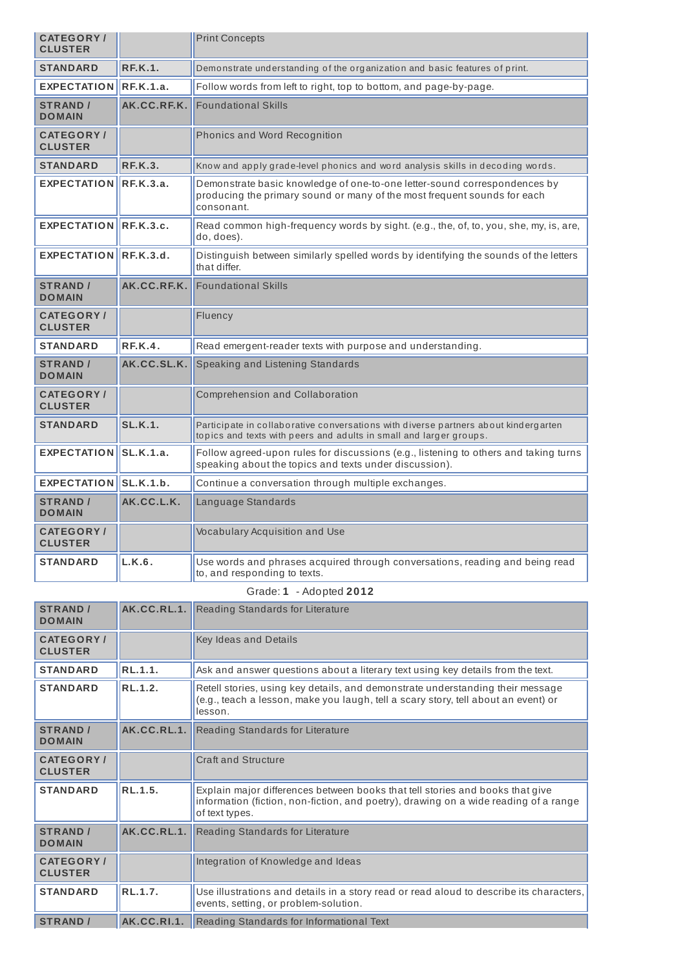| <b>CATEGORY/</b><br><b>CLUSTER</b>  |                  | <b>Print Concepts</b>                                                                                                                                               |
|-------------------------------------|------------------|---------------------------------------------------------------------------------------------------------------------------------------------------------------------|
| <b>STANDARD</b>                     | <b>RF.K.1.</b>   | Demonstrate understanding of the organization and basic features of print.                                                                                          |
| <b>EXPECTATION</b>                  | RE.K.1.a.        | Follow words from left to right, top to bottom, and page-by-page.                                                                                                   |
| <b>STRAND /</b><br><b>DOMAIN</b>    | AK.CC.RF.K.      | <b>Foundational Skills</b>                                                                                                                                          |
| <b>CATEGORY</b> /<br><b>CLUSTER</b> |                  | Phonics and Word Recognition                                                                                                                                        |
| <b>STANDARD</b>                     | <b>RF.K.3.</b>   | Know and apply grade-level phonics and word analysis skills in decoding words.                                                                                      |
| <b>EXPECTATION</b>                  | RE.K.3.a.        | Demonstrate basic knowledge of one-to-one letter-sound correspondences by<br>producing the primary sound or many of the most frequent sounds for each<br>consonant. |
| <b>EXPECTATION</b>                  | <b>RF.K.3.c.</b> | Read common high-frequency words by sight. (e.g., the, of, to, you, she, my, is, are,<br>do, does).                                                                 |
| <b>EXPECTATION</b>                  | RE.K.3.d.        | Distinguish between similarly spelled words by identifying the sounds of the letters<br>that differ.                                                                |
| <b>STRAND /</b><br><b>DOMAIN</b>    | AK.CC.RF.K.      | <b>Foundational Skills</b>                                                                                                                                          |
| <b>CATEGORY</b> /<br><b>CLUSTER</b> |                  | Fluency                                                                                                                                                             |
| <b>STANDARD</b>                     | RE.K.4.          | Read emergent-reader texts with purpose and understanding.                                                                                                          |
| <b>STRAND</b> /<br><b>DOMAIN</b>    | AK.CC.SL.K.      | Speaking and Listening Standards                                                                                                                                    |
| <b>CATEGORY</b> /<br><b>CLUSTER</b> |                  | Comprehension and Collaboration                                                                                                                                     |
| <b>STANDARD</b>                     | <b>SL.K.1.</b>   | Participate in collaborative conversations with diverse partners about kindergarten<br>topics and texts with peers and adults in small and larger groups.           |
| <b>EXPECTATION</b>                  | SL.K.1.a.        | Follow agreed-upon rules for discussions (e.g., listening to others and taking turns<br>speaking about the topics and texts under discussion).                      |
| <b>EXPECTATION</b>                  | SLK.1.b.         | Continue a conversation through multiple exchanges.                                                                                                                 |
| <b>STRAND /</b><br><b>DOMAIN</b>    | AK.CC.L.K.       | Language Standards                                                                                                                                                  |
| <b>CATEGORY</b> /<br><b>CLUSTER</b> |                  | Vocabulary Acquisition and Use                                                                                                                                      |
| <b>STANDARD</b>                     | L.K.6.           | Use words and phrases acquired through conversations, reading and being read<br>to, and responding to texts.                                                        |

## Grade: **1** - Adopted **2012**

| <b>STRAND /</b><br><b>DOMAIN</b>   | AK.CC.RL.1. | Reading Standards for Literature                                                                                                                                                        |
|------------------------------------|-------------|-----------------------------------------------------------------------------------------------------------------------------------------------------------------------------------------|
| <b>CATEGORY</b><br><b>CLUSTER</b>  |             | Key Ideas and Details                                                                                                                                                                   |
| <b>STANDARD</b>                    | RL.1.1.     | Ask and answer questions about a literary text using key details from the text.                                                                                                         |
| <b>STANDARD</b>                    | RL.1.2.     | Retell stories, using key details, and demonstrate understanding their message<br>(e.g., teach a lesson, make you laugh, tell a scary story, tell about an event) or<br>lesson.         |
| <b>STRAND /</b><br><b>DOMAIN</b>   | AK.CC.RL.1. | Reading Standards for Literature                                                                                                                                                        |
| <b>CATEGORY/</b><br><b>CLUSTER</b> |             | <b>Craft and Structure</b>                                                                                                                                                              |
| <b>STANDARD</b>                    | RL.1.5.     | Explain major differences between books that tell stories and books that give<br>information (fiction, non-fiction, and poetry), drawing on a wide reading of a range<br>of text types. |
| <b>STRAND</b> /<br><b>DOMAIN</b>   | AK.CC.RL.1. | Reading Standards for Literature                                                                                                                                                        |
| <b>CATEGORY</b><br><b>CLUSTER</b>  |             | Integration of Knowledge and Ideas                                                                                                                                                      |
| <b>STANDARD</b>                    | RL.1.7.     | Use illustrations and details in a story read or read aloud to describe its characters,<br>events, setting, or problem-solution.                                                        |
| <b>STRAND /</b>                    | AK.CC.RI.1. | Reading Standards for Informational Text                                                                                                                                                |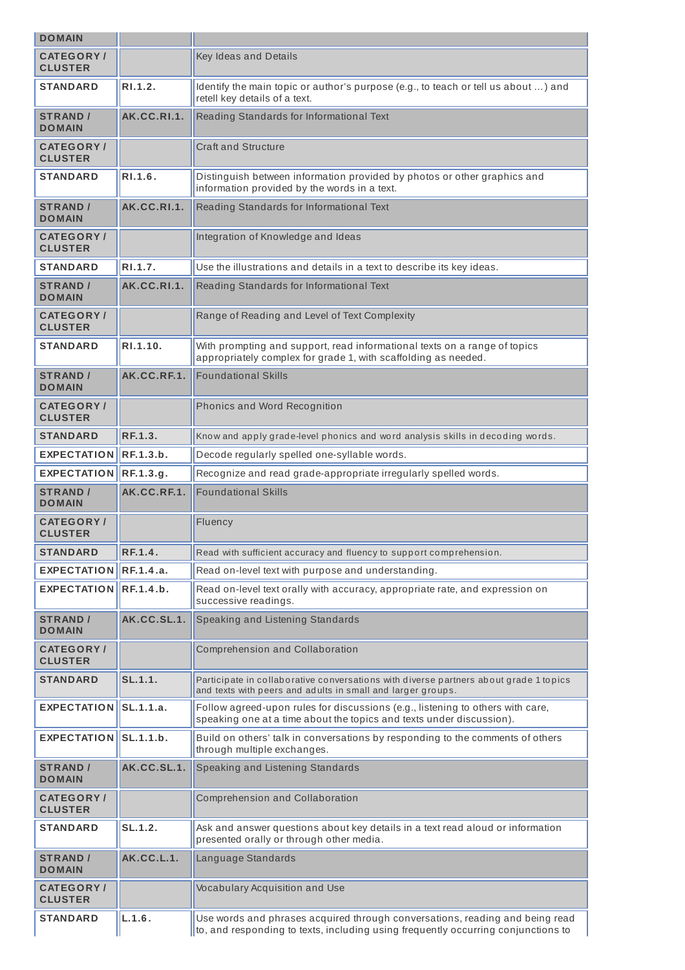| <b>DOMAIN</b>                       |             |                                                                                                                                                        |  |
|-------------------------------------|-------------|--------------------------------------------------------------------------------------------------------------------------------------------------------|--|
| <b>CATEGORY/</b><br><b>CLUSTER</b>  |             | Key Ideas and Details                                                                                                                                  |  |
| STANDARD                            | R1.1.2.     | Identify the main topic or author's purpose (e.g., to teach or tell us about ) and<br>retell key details of a text.                                    |  |
| <b>STRAND /</b><br><b>DOMAIN</b>    | AK.CC.RI.1. | Reading Standards for Informational Text                                                                                                               |  |
| CATEGORY /<br><b>CLUSTER</b>        |             | Craft and Structure                                                                                                                                    |  |
| STANDARD                            | RI.1.6.     | Distinguish between information provided by photos or other graphics and<br>information provided by the words in a text.                               |  |
| <b>STRAND /</b><br><b>DOMAIN</b>    | AK.CC.RI.1. | Reading Standards for Informational Text                                                                                                               |  |
| <b>CATEGORY/</b><br><b>CLUSTER</b>  |             | Integration of Knowledge and Ideas                                                                                                                     |  |
| <b>STANDARD</b>                     | RI.1.7.     | Use the illustrations and details in a text to describe its key ideas.                                                                                 |  |
| <b>STRAND /</b><br><b>DOMAIN</b>    | AK.CC.RI.1. | Reading Standards for Informational Text                                                                                                               |  |
| <b>CATEGORY/</b><br><b>CLUSTER</b>  |             | Range of Reading and Level of Text Complexity                                                                                                          |  |
| <b>STANDARD</b>                     | R1.1.10.    | With prompting and support, read informational texts on a range of topics<br>appropriately complex for grade 1, with scaffolding as needed.            |  |
| <b>STRAND /</b><br><b>DOMAIN</b>    | AK.CC.RF.1. | <b>Foundational Skills</b>                                                                                                                             |  |
| <b>CATEGORY/</b><br><b>CLUSTER</b>  |             | Phonics and Word Recognition                                                                                                                           |  |
| <b>STANDARD</b>                     | RF.1.3.     | Know and apply grade-level phonics and word analysis skills in decoding words.                                                                         |  |
| <b>EXPECTATION</b>                  | RF.1.3.b.   | Decode regularly spelled one-syllable words.                                                                                                           |  |
| <b>EXPECTATION</b>                  | RF.1.3.g.   | Recognize and read grade-appropriate irregularly spelled words.                                                                                        |  |
| <b>STRAND /</b><br><b>DOMAIN</b>    | AK.CC.RF.1. | <b>Foundational Skills</b>                                                                                                                             |  |
|                                     |             | Fluency                                                                                                                                                |  |
| <b>CATEGORY/</b><br><b>CLUSTER</b>  |             |                                                                                                                                                        |  |
| <b>STANDARD</b>                     | RF.1.4.     | Read with sufficient accuracy and fluency to support comprehension.                                                                                    |  |
| <b>EXPECTATION</b>                  | RF.1.4.a.   | Read on-level text with purpose and understanding.                                                                                                     |  |
| <b>EXPECTATION</b>                  | RE.1.4.b.   | Read on-level text orally with accuracy, appropriate rate, and expression on<br>successive readings.                                                   |  |
| <b>STRAND /</b><br><b>DOMAIN</b>    | AK.CC.SL.1. | Speaking and Listening Standards                                                                                                                       |  |
| <b>CATEGORY/</b><br><b>CLUSTER</b>  |             | Comprehension and Collaboration                                                                                                                        |  |
| <b>STANDARD</b>                     | SL.1.1.     | Participate in collaborative conversations with diverse partners about grade 1 topics<br>and texts with peers and adults in small and larger groups.   |  |
| <b>EXPECTATION</b>                  | SL.1.1.a.   | Follow agreed-upon rules for discussions (e.g., listening to others with care,<br>speaking one at a time about the topics and texts under discussion). |  |
| <b>EXPECTATION</b>                  | SL.1.1.b.   | Build on others' talk in conversations by responding to the comments of others<br>through multiple exchanges.                                          |  |
| <b>STRAND /</b><br><b>DOMAIN</b>    | AK.CC.SL.1. | Speaking and Listening Standards                                                                                                                       |  |
| <b>CATEGORY /</b><br><b>CLUSTER</b> |             | Comprehension and Collaboration                                                                                                                        |  |
| <b>STANDARD</b>                     | SL.1.2.     | Ask and answer questions about key details in a text read aloud or information<br>presented orally or through other media.                             |  |
| <b>STRAND /</b><br><b>DOMAIN</b>    | AK.CC.L.1.  | Language Standards                                                                                                                                     |  |
| <b>CATEGORY /</b><br><b>CLUSTER</b> |             | Vocabulary Acquisition and Use                                                                                                                         |  |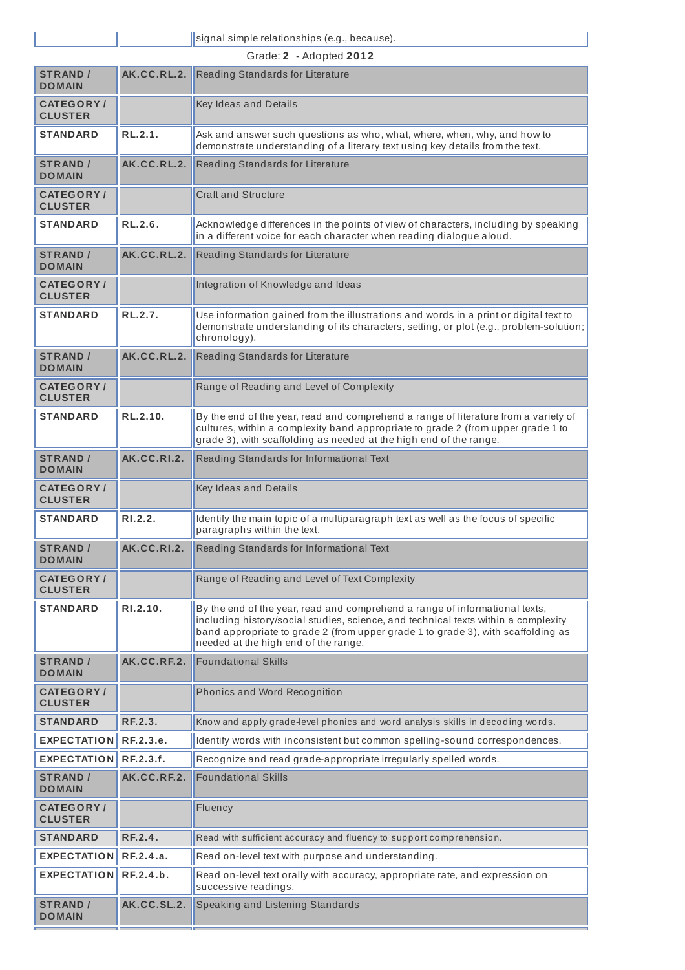Ī

| Grade: 2 - Adopted 2012             |                  |                                                                                                                                                                                                                                                                                               |  |
|-------------------------------------|------------------|-----------------------------------------------------------------------------------------------------------------------------------------------------------------------------------------------------------------------------------------------------------------------------------------------|--|
| <b>STRAND</b> /<br><b>DOMAIN</b>    | AK.CC.RL.2.      | Reading Standards for Literature                                                                                                                                                                                                                                                              |  |
| <b>CATEGORY</b> /<br><b>CLUSTER</b> |                  | Key Ideas and Details                                                                                                                                                                                                                                                                         |  |
| <b>STANDARD</b>                     | RL.2.1.          | Ask and answer such questions as who, what, where, when, why, and how to<br>demonstrate understanding of a literary text using key details from the text.                                                                                                                                     |  |
| <b>STRAND /</b><br><b>DOMAIN</b>    | AK.CC.RL.2.      | Reading Standards for Literature                                                                                                                                                                                                                                                              |  |
| <b>CATEGORY</b> /<br><b>CLUSTER</b> |                  | Craft and Structure                                                                                                                                                                                                                                                                           |  |
| <b>STANDARD</b>                     | RL.2.6.          | Acknowledge differences in the points of view of characters, including by speaking<br>in a different voice for each character when reading dialogue aloud.                                                                                                                                    |  |
| <b>STRAND /</b><br><b>DOMAIN</b>    | AK.CC.RL.2.      | Reading Standards for Literature                                                                                                                                                                                                                                                              |  |
| <b>CATEGORY/</b><br><b>CLUSTER</b>  |                  | Integration of Knowledge and Ideas                                                                                                                                                                                                                                                            |  |
| <b>STANDARD</b>                     | RL.2.7.          | Use information gained from the illustrations and words in a print or digital text to<br>demonstrate understanding of its characters, setting, or plot (e.g., problem-solution;<br>chronology).                                                                                               |  |
| <b>STRAND /</b><br><b>DOMAIN</b>    | AK.CC.RL.2.      | Reading Standards for Literature                                                                                                                                                                                                                                                              |  |
| <b>CATEGORY/</b><br><b>CLUSTER</b>  |                  | Range of Reading and Level of Complexity                                                                                                                                                                                                                                                      |  |
| <b>STANDARD</b>                     | RL.2.10.         | By the end of the year, read and comprehend a range of literature from a variety of<br>cultures, within a complexity band appropriate to grade 2 (from upper grade 1 to<br>grade 3), with scaffolding as needed at the high end of the range.                                                 |  |
| <b>STRAND /</b><br><b>DOMAIN</b>    | AK.CC.RI.2.      | Reading Standards for Informational Text                                                                                                                                                                                                                                                      |  |
| <b>CATEGORY</b> /<br><b>CLUSTER</b> |                  | Key Ideas and Details                                                                                                                                                                                                                                                                         |  |
| <b>STANDARD</b>                     | RI.2.2.          | Identify the main topic of a multiparagraph text as well as the focus of specific<br>paragraphs within the text.                                                                                                                                                                              |  |
| <b>STRAND /</b><br><b>DOMAIN</b>    | AK.CC.RI.2.      | Reading Standards for Informational Text                                                                                                                                                                                                                                                      |  |
| <b>CATEGORY/</b><br><b>CLUSTER</b>  |                  | Range of Reading and Level of Text Complexity                                                                                                                                                                                                                                                 |  |
| <b>STANDARD</b>                     | RI.2.10.         | By the end of the year, read and comprehend a range of informational texts,<br>including history/social studies, science, and technical texts within a complexity<br>band appropriate to grade 2 (from upper grade 1 to grade 3), with scaffolding as<br>needed at the high end of the range. |  |
| <b>STRAND /</b><br><b>DOMAIN</b>    | AK.CC.RF.2.      | <b>Foundational Skills</b>                                                                                                                                                                                                                                                                    |  |
| <b>CATEGORY/</b><br><b>CLUSTER</b>  |                  | Phonics and Word Recognition                                                                                                                                                                                                                                                                  |  |
| <b>STANDARD</b>                     | RF.2.3.          | Know and apply grade-level phonics and word analysis skills in decoding words.                                                                                                                                                                                                                |  |
| <b>EXPECTATION</b>                  | RF.2.3.e.        | Identify words with inconsistent but common spelling-sound correspondences.                                                                                                                                                                                                                   |  |
| <b>EXPECTATION</b>                  | <b>RF.2.3.f.</b> | Recognize and read grade-appropriate irregularly spelled words.                                                                                                                                                                                                                               |  |
| <b>STRAND /</b><br><b>DOMAIN</b>    | AK.CC.RF.2.      | <b>Foundational Skills</b>                                                                                                                                                                                                                                                                    |  |
| <b>CATEGORY/</b><br><b>CLUSTER</b>  |                  | Fluency                                                                                                                                                                                                                                                                                       |  |
| <b>STANDARD</b>                     | RF.2.4.          | Read with sufficient accuracy and fluency to support comprehension.                                                                                                                                                                                                                           |  |
| <b>EXPECTATION</b>                  | RF.2.4.a.        | Read on-level text with purpose and understanding.                                                                                                                                                                                                                                            |  |
| <b>EXPECTATION</b>                  | RF.2.4.b.        | Read on-level text orally with accuracy, appropriate rate, and expression on<br>successive readings.                                                                                                                                                                                          |  |
| <b>STRAND /</b><br><b>DOMAIN</b>    | AK.CC.SL.2.      | Speaking and Listening Standards                                                                                                                                                                                                                                                              |  |